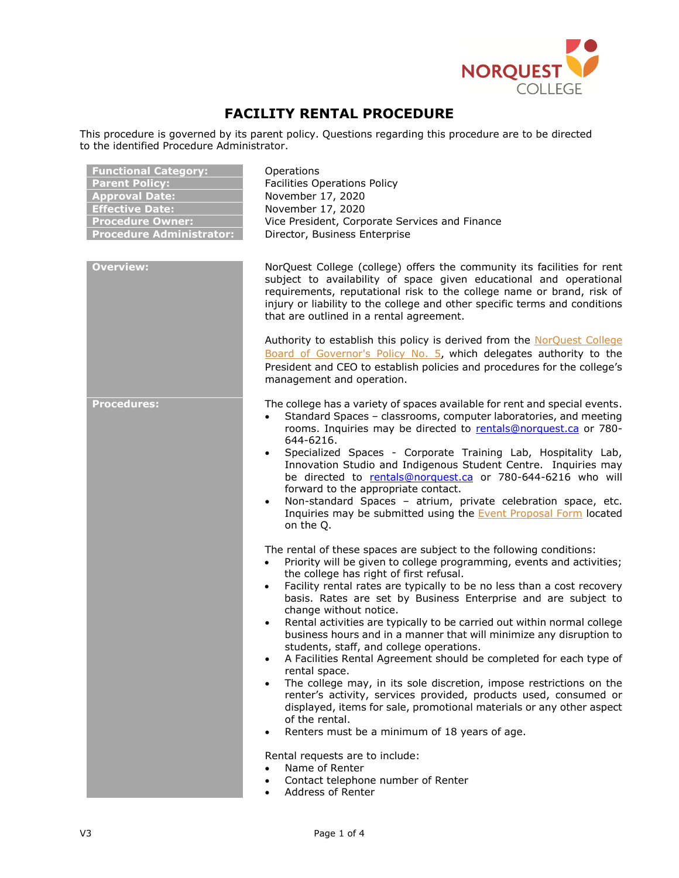

# **FACILITY RENTAL PROCEDURE**

This procedure is governed by its parent policy. Questions regarding this procedure are to be directed to the identified Procedure Administrator.

| <b>Functional Category:</b><br><b>Parent Policy:</b><br><b>Approval Date:</b><br><b>Effective Date:</b><br><b>Procedure Owner:</b><br><b>Procedure Administrator:</b> | Operations<br><b>Facilities Operations Policy</b><br>November 17, 2020<br>November 17, 2020<br>Vice President, Corporate Services and Finance<br>Director, Business Enterprise                                                                                                                                                                                                                                                                                                                                                                                                                                                                                                                                                                                                                                                                                                                                                                                                                                                                                                                               |
|-----------------------------------------------------------------------------------------------------------------------------------------------------------------------|--------------------------------------------------------------------------------------------------------------------------------------------------------------------------------------------------------------------------------------------------------------------------------------------------------------------------------------------------------------------------------------------------------------------------------------------------------------------------------------------------------------------------------------------------------------------------------------------------------------------------------------------------------------------------------------------------------------------------------------------------------------------------------------------------------------------------------------------------------------------------------------------------------------------------------------------------------------------------------------------------------------------------------------------------------------------------------------------------------------|
| <b>Overview:</b>                                                                                                                                                      | NorQuest College (college) offers the community its facilities for rent<br>subject to availability of space given educational and operational<br>requirements, reputational risk to the college name or brand, risk of<br>injury or liability to the college and other specific terms and conditions<br>that are outlined in a rental agreement.                                                                                                                                                                                                                                                                                                                                                                                                                                                                                                                                                                                                                                                                                                                                                             |
|                                                                                                                                                                       | Authority to establish this policy is derived from the NorQuest College<br>Board of Governor's Policy No. 5, which delegates authority to the<br>President and CEO to establish policies and procedures for the college's<br>management and operation.                                                                                                                                                                                                                                                                                                                                                                                                                                                                                                                                                                                                                                                                                                                                                                                                                                                       |
| <b>Procedures:</b>                                                                                                                                                    | The college has a variety of spaces available for rent and special events.<br>Standard Spaces - classrooms, computer laboratories, and meeting<br>rooms. Inquiries may be directed to rentals@norquest.ca or 780-<br>644-6216.<br>Specialized Spaces - Corporate Training Lab, Hospitality Lab,<br>$\bullet$<br>Innovation Studio and Indigenous Student Centre. Inquiries may<br>be directed to rentals@norquest.ca or 780-644-6216 who will<br>forward to the appropriate contact.<br>Non-standard Spaces - atrium, private celebration space, etc.<br>$\bullet$<br>Inquiries may be submitted using the <b>Event Proposal Form</b> located<br>on the Q.                                                                                                                                                                                                                                                                                                                                                                                                                                                   |
|                                                                                                                                                                       | The rental of these spaces are subject to the following conditions:<br>Priority will be given to college programming, events and activities;<br>$\bullet$<br>the college has right of first refusal.<br>Facility rental rates are typically to be no less than a cost recovery<br>$\bullet$<br>basis. Rates are set by Business Enterprise and are subject to<br>change without notice.<br>Rental activities are typically to be carried out within normal college<br>$\bullet$<br>business hours and in a manner that will minimize any disruption to<br>students, staff, and college operations.<br>A Facilities Rental Agreement should be completed for each type of<br>rental space.<br>The college may, in its sole discretion, impose restrictions on the<br>renter's activity, services provided, products used, consumed or<br>displayed, items for sale, promotional materials or any other aspect<br>of the rental.<br>Renters must be a minimum of 18 years of age.<br>Rental requests are to include:<br>Name of Renter<br>Contact telephone number of Renter<br>$\bullet$<br>Address of Renter |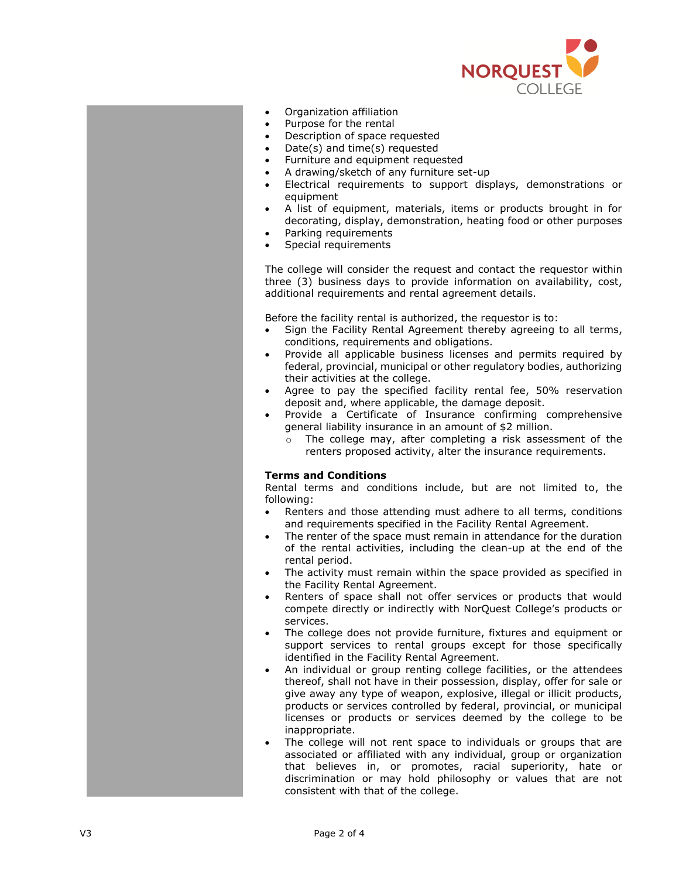

- Organization affiliation
- Purpose for the rental
- Description of space requested
- Date(s) and time(s) requested
- Furniture and equipment requested
- A drawing/sketch of any furniture set -up
- Electrical requirements to support displays, demonstrations or equipment
- A list of equipment, materials, items or products brought in for decorating, display, demonstration, heating food or other purposes
- Parking requirements
- Special requirements

The college will consider the request and contact the requestor within three ( 3 ) business days to provide information on availability, cost, additional requirements and rental agreement details.

Before the facility rental is authorized , the requestor is to :

- Sign the Facility Rental Agreement thereby agreeing to all terms, conditions, requirements and obligations.
- Provide all applicable business licenses and permits required by federal, provincial, municipal or other regulatory bodies, authorizing their activities at the college .
- Agree to pay the specified facility rental fee, 50% reservation deposit and , where applicable , the damage deposit.
- Provide a Certificate of Insurance confirming comprehensive general liability insurance in an amount of \$ 2 million.
	- o The college may, after completing a risk assessment of the renters proposed activity, alter the insurance requirements.

### **Terms and Conditions**

Rental terms and conditions include, but are not limited to , the following:

- Renters and those attending must adhere to all terms, conditions and requirements specified in the Facility Rental Agreement.
- The renter of the space must remain in attendance for the duration of the rental activities, including the clean -up at the end of the rental period.
- The activity must remain within the space provided as specified in the Facility Rental Agreement.
- Renters of space shall not offer services or products that would compete directly or indirectly with NorQuest College's products or services.
- The college does not provide furniture, fixtures and equipment or support services to rental groups except for those specifically identified in the Facility Rental Agreement.
- An individual or group renting college facilities , or the attendees thereof, shall not have in their possession, display, offer for sale or give away any type of weapon, explosive, illegal or illicit products, products or services controlled by federal, provincial, or municipal licenses or products or services deemed by the college to be inappropriate.
- The college will not rent space to individuals or groups that are associated or affiliated with any individual, group or organization that believes in, or promotes , racial superiority, hate or discrimination or may hold philosophy or values that are not consistent with that of the college.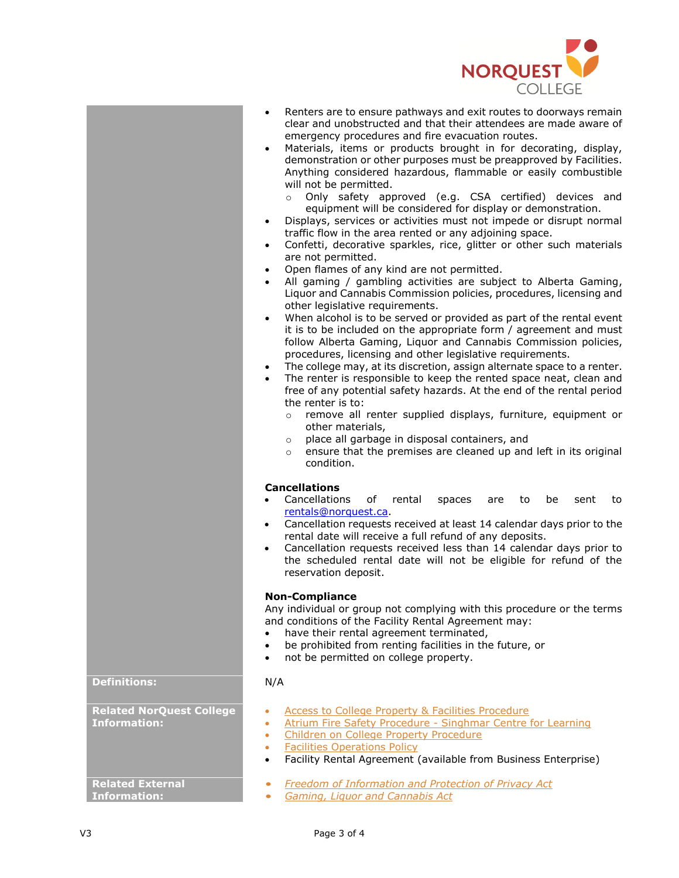

- Renters are to ensure pathways and exit routes to doorways remain clear and unobstructed and that their attendees are made aware of emergency procedures and fire evacuation routes.
- Materials, items or products brought in for decorating, display, demonstration or other purposes must be preapproved by Facilities. Anything considered hazardous, flammable or easily combustible will not be permitted.
	- o Only safety approved (e.g. CSA certified) devices and equipment will be considered for display or demonstration.
- Displays, services or activities must not impede or disrupt normal traffic flow in the area rented or any adjoining space.
- Confetti, decorative sparkles, rice, glitter or other such materials are not permitted.
- Open flames of any kind are not permitted.
- All gaming / gambling activities are subject to Alberta Gaming, Liquor and Cannabis Commission policies, procedures, licensing and other legislative requirements.
- When alcohol is to be served or provided as part of the rental event it is to be included on the appropriate form / agreement and must follow Alberta Gaming, Liquor and Cannabis Commission policies, procedures, licensing and other legislative requirements.
- The college may, at its discretion, assign alternate space to a renter.
- The renter is responsible to keep the rented space neat, clean and free of any potential safety hazards. At the end of the rental period the renter is to:
	- o remove all renter supplied displays, furniture, equipment or other materials,
	- o place all garbage in disposal containers, and
	- o ensure that the premises are cleaned up and left in its original condition.

### **Cancellations**

- Cancellations of rental spaces are to be sent to [rentals@norquest.ca.](mailto:rentals@norquest.ca)
- Cancellation requests received at least 14 calendar days prior to the rental date will receive a full refund of any deposits.
- Cancellation requests received less than 14 calendar days prior to the scheduled rental date will not be eligible for refund of the reservation deposit.

### **Non-Compliance**

Any individual or group not complying with this procedure or the terms and conditions of the Facility Rental Agreement may:

- have their rental agreement terminated,
- be prohibited from renting facilities in the future, or
- not be permitted on college property.

- [Access to College Property & Facilities Procedure](https://www.norquest.ca/about-us/policies-procedures/operations/facilities-operations-policy/access-to-college-property-facilities-procedure.aspx)
- [Atrium Fire Safety Procedure -](https://www.norquest.ca/about-us/policies-procedures/operations/emergency-and-continuity-management-policy/atrium-fire-safety-procedure-singhmar-centre-for-learning.aspx) Singhmar Centre for Learning
- [Children on College Property Procedure](https://www.norquest.ca/about-us/policies-procedures/operations/facilities-operations-policy/children-on-college-property-procedure.aspx)
- [Facilities Operations Policy](https://www.norquest.ca/about-us/policies-procedures/operations/facilities-operations-policy.aspx)
- Facility Rental Agreement (available from Business Enterprise)
- *[Freedom of Information and Protection of Privacy Act](http://www.qp.alberta.ca/documents/Acts/F25.pdf)*
- *[Gaming, Liquor and Cannabis Act](http://www.qp.alberta.ca/documents/Acts/g01.pdf)*

## **Definitions:** N/A

**Related NorQuest College Information:**

**Related External Information:**